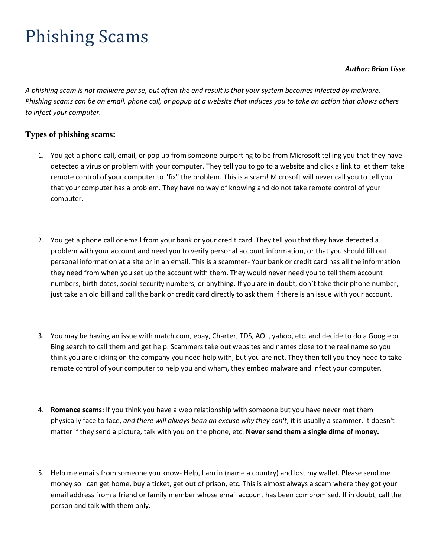## *Author: Brian Lisse*

*A phishing scam is not malware per se, but often the end result is that your system becomes infected by malware. Phishing scams can be an email, phone call, or popup at a website that induces you to take an action that allows others to infect your computer.*

## **Types of phishing scams:**

- 1. You get a phone call, email, or pop up from someone purporting to be from Microsoft telling you that they have detected a virus or problem with your computer. They tell you to go to a website and click a link to let them take remote control of your computer to "fix" the problem. This is a scam! Microsoft will never call you to tell you that your computer has a problem. They have no way of knowing and do not take remote control of your computer.
- 2. You get a phone call or email from your bank or your credit card. They tell you that they have detected a problem with your account and need you to verify personal account information, or that you should fill out personal information at a site or in an email. This is a scammer- Your bank or credit card has all the information they need from when you set up the account with them. They would never need you to tell them account numbers, birth dates, social security numbers, or anything. If you are in doubt, don`t take their phone number, just take an old bill and call the bank or credit card directly to ask them if there is an issue with your account.
- 3. You may be having an issue with match.com, ebay, Charter, TDS, AOL, yahoo, etc. and decide to do a Google or Bing search to call them and get help. Scammers take out websites and names close to the real name so you think you are clicking on the company you need help with, but you are not. They then tell you they need to take remote control of your computer to help you and wham, they embed malware and infect your computer.
- 4. **Romance scams:** If you think you have a web relationship with someone but you have never met them physically face to face, *and there will always bean an excuse why they can't*, it is usually a scammer. It doesn't matter if they send a picture, talk with you on the phone, etc. **Never send them a single dime of money.**
- 5. Help me emails from someone you know- Help, I am in (name a country) and lost my wallet. Please send me money so I can get home, buy a ticket, get out of prison, etc. This is almost always a scam where they got your email address from a friend or family member whose email account has been compromised. If in doubt, call the person and talk with them only.